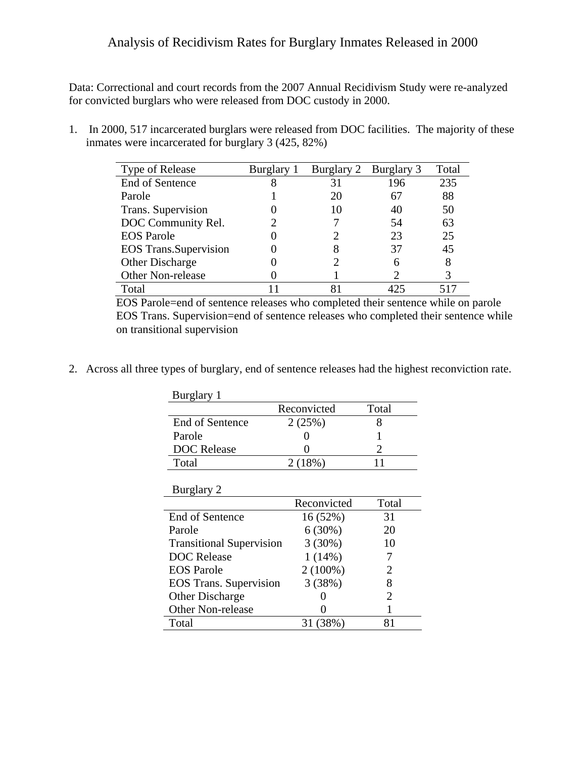## Analysis of Recidivism Rates for Burglary Inmates Released in 2000

Data: Correctional and court records from the 2007 Annual Recidivism Study were re-analyzed for convicted burglars who were released from DOC custody in 2000.

1. In 2000, 517 incarcerated burglars were released from DOC facilities. The majority of these inmates were incarcerated for burglary 3 (425, 82%)

| Type of Release               | Burglary 1 | Burglary 2 | Burglary 3 | Total |
|-------------------------------|------------|------------|------------|-------|
| End of Sentence               |            | 31         | 196        | 235   |
| Parole                        |            | 20         | 67         | 88    |
| Trans. Supervision            |            | 10         | 40         | 50    |
| DOC Community Rel.            |            |            | .54        | 63    |
| <b>EOS</b> Parole             |            |            | 23         | 25    |
| <b>EOS</b> Trans. Supervision |            | 8          | 37         | 45    |
| Other Discharge               |            |            |            | 8     |
| Other Non-release             |            |            |            | 3     |
| Total                         |            | 81         |            |       |

EOS Parole=end of sentence releases who completed their sentence while on parole EOS Trans. Supervision=end of sentence releases who completed their sentence while on transitional supervision

2. Across all three types of burglary, end of sentence releases had the highest reconviction rate.

| Burglary 1                      |             |                       |
|---------------------------------|-------------|-----------------------|
|                                 | Reconvicted | Total                 |
| End of Sentence                 | 2(25%)      | 8                     |
| Parole                          |             |                       |
| <b>DOC</b> Release              |             | 2                     |
| Total                           | 2(18%)      | 11                    |
|                                 |             |                       |
| Burglary 2                      |             |                       |
|                                 | Reconvicted | Total                 |
| End of Sentence                 | 16 (52%)    | 31                    |
| Parole                          | 6(30%)      | 20                    |
| <b>Transitional Supervision</b> | 3(30%)      | 10                    |
| <b>DOC</b> Release              | $1(14\%)$   | 7                     |
| <b>EOS</b> Parole               | $2(100\%)$  | 2                     |
| <b>EOS</b> Trans. Supervision   | 3(38%)      | 8                     |
| <b>Other Discharge</b>          |             | $\mathcal{D}_{\cdot}$ |
| <b>Other Non-release</b>        |             |                       |
| Total                           | (38%)<br>31 | 81                    |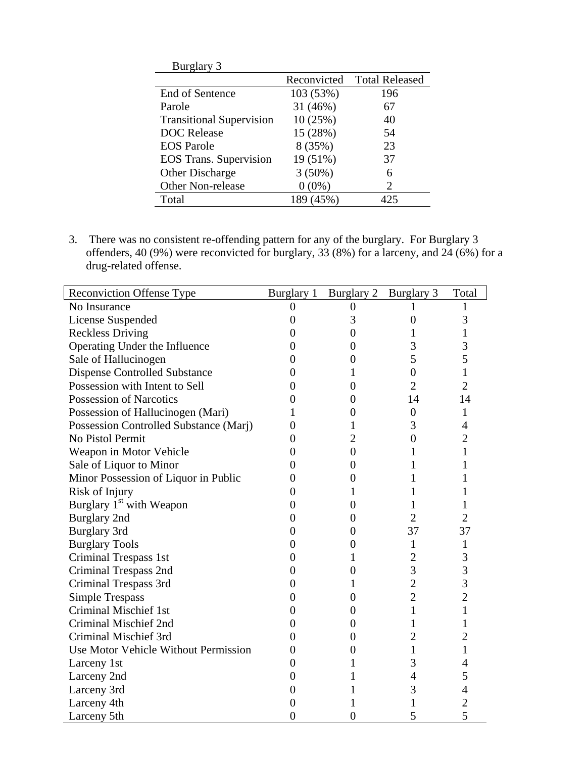| <b>Burglary 3</b>               |             |                       |
|---------------------------------|-------------|-----------------------|
|                                 | Reconvicted | <b>Total Released</b> |
| <b>End of Sentence</b>          | 103 (53%)   | 196                   |
| Parole                          | 31 (46%)    | 67                    |
| <b>Transitional Supervision</b> | 10(25%)     | 40                    |
| <b>DOC</b> Release              | 15 (28%)    | 54                    |
| <b>EOS</b> Parole               | 8 (35%)     | 23                    |
| <b>EOS</b> Trans. Supervision   | 19 (51%)    | 37                    |
| <b>Other Discharge</b>          | $3(50\%)$   | 6                     |
| <b>Other Non-release</b>        | $0(0\%)$    | 2                     |
| Total                           | 189 (45%)   | L25                   |

3. There was no consistent re-offending pattern for any of the burglary. For Burglary 3 offenders, 40 (9%) were reconvicted for burglary, 33 (8%) for a larceny, and 24 (6%) for a drug-related offense.

| <b>Reconviction Offense Type</b>       | Burglary 1     | Burglary 2       | Burglary 3       | Total          |
|----------------------------------------|----------------|------------------|------------------|----------------|
| No Insurance                           | $\theta$       | $\overline{0}$   |                  |                |
| License Suspended                      | 0              | 3                | $\overline{0}$   | 3              |
| <b>Reckless Driving</b>                | 0              | $\theta$         |                  | 1              |
| Operating Under the Influence          | 0              | $\theta$         | 3                | 3              |
| Sale of Hallucinogen                   | $\theta$       | $\overline{0}$   | 5                | 5              |
| <b>Dispense Controlled Substance</b>   | 0              | 1                | $\overline{0}$   | $\mathbf{1}$   |
| Possession with Intent to Sell         | 0              | $\overline{0}$   | $\overline{2}$   | $\overline{2}$ |
| <b>Possession of Narcotics</b>         | 0              | $\overline{0}$   | 14               | 14             |
| Possession of Hallucinogen (Mari)      |                | $\boldsymbol{0}$ | $\boldsymbol{0}$ | $\mathbf{1}$   |
| Possession Controlled Substance (Marj) | 0              | 1                | 3                | $\overline{4}$ |
| <b>No Pistol Permit</b>                | 0              | $\overline{2}$   | $\overline{0}$   | 2              |
| Weapon in Motor Vehicle                | $\mathbf{0}$   | $\boldsymbol{0}$ |                  | 1              |
| Sale of Liquor to Minor                | 0              | $\theta$         |                  |                |
| Minor Possession of Liquor in Public   | $\mathbf{0}$   | $\Omega$         |                  | L              |
| Risk of Injury                         | 0              | 1                |                  |                |
| Burglary 1 <sup>st</sup> with Weapon   | 0              | $\overline{0}$   |                  | 1              |
| <b>Burglary 2nd</b>                    | 0              | $\theta$         | $\overline{2}$   | $\overline{2}$ |
| <b>Burglary 3rd</b>                    | $\mathbf{0}$   | $\Omega$         | 37               | 37             |
| <b>Burglary Tools</b>                  | 0              | $\theta$         | 1                | 1              |
| Criminal Trespass 1st                  | $\overline{0}$ | 1                | $\overline{2}$   | 3              |
| Criminal Trespass 2nd                  | 0              | $\overline{0}$   | $\overline{3}$   | 3              |
| Criminal Trespass 3rd                  | 0              | 1                | $\overline{2}$   | 3              |
| <b>Simple Trespass</b>                 | 0              | $\overline{0}$   | $\overline{2}$   | $\overline{2}$ |
| <b>Criminal Mischief 1st</b>           | 0              | $\overline{0}$   | $\mathbf{1}$     | 1              |
| Criminal Mischief 2nd                  | 0              | $\theta$         | 1                | 1              |
| Criminal Mischief 3rd                  | 0              | $\theta$         | $\overline{2}$   | $\overline{2}$ |
| Use Motor Vehicle Without Permission   | 0              | $\boldsymbol{0}$ | 1                | 1              |
| Larceny 1st                            | 0              | 1                | 3                | 4              |
| Larceny 2nd                            | 0              | 1                | $\overline{4}$   | 5              |
| Larceny 3rd                            | 0              | 1                | 3                | 4              |
| Larceny 4th                            | 0              |                  | 1                | $\overline{c}$ |
| Larceny 5th                            | $\overline{0}$ | $\overline{0}$   | 5                | 5              |